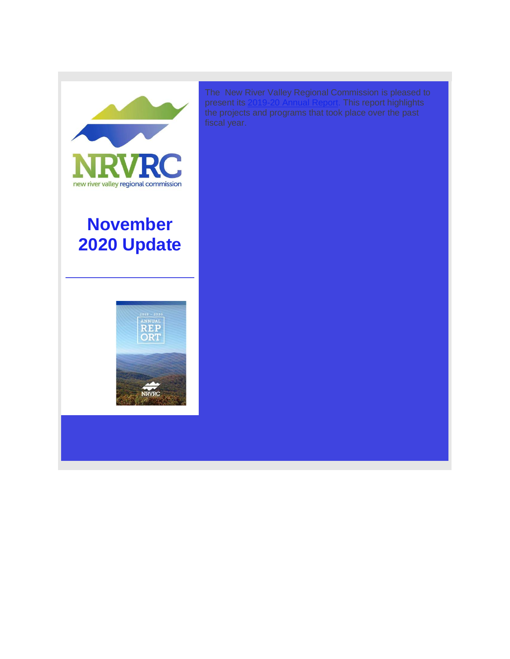

**November 2020 Update**



present its [2019-20 Annual Report.](http://r20.rs6.net/tn.jsp?f=001ePxolpQtdb5qH7HaU10RqkmMe1YQyUt1d_B74Ke1Z2AUvNC-xrsbQCqJNLIL2BCnzMvWi1jku9TJWNPpoeYqZ-8wo5aAjAmIdIaqMVjI9GRL3uEx-htgv_wBszwufCTnJjEfY8vUdXyliMG3Y7EPU8eEqg4H1CdqSXWK15vtjeKpCC3R8b4yTiaBFLCe2j4phFsoK2EXYc9LjTfO6Ek86iZEji15MEMW&c=PNCl1idaHybkI5Ae0TQ3oQXW3nl5oIbmlTgUdqCbJAV52bywjSoBPQ==&ch=ygLaZN9QULdMhbnJdZDdM9djf9eHzkfXbSVZ4n__t33mK7IS0P4Klw==) This report highlights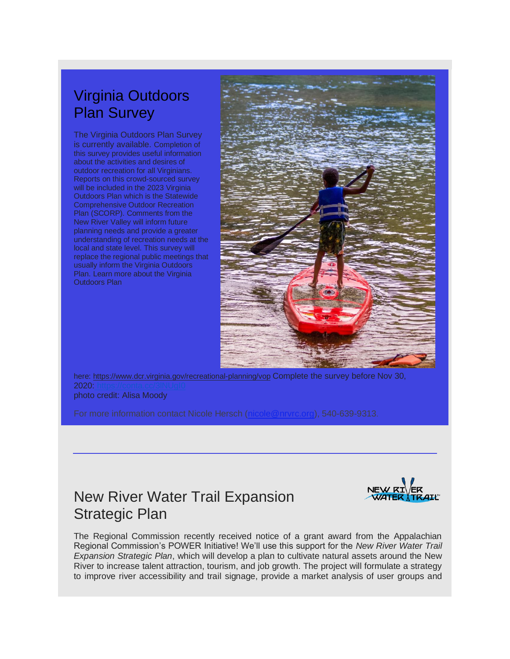# Virginia Outdoors Plan Survey

The Virginia Outdoors Plan Survey is currently available. Completion of this survey provides useful information about the activities and desires of outdoor recreation for all Virginians. Reports on this crowd-sourced survey will be included in the 2023 Virginia Outdoors Plan which is the Statewide Comprehensive Outdoor Recreation Plan (SCORP). Comments from the New River Valley will inform future planning needs and provide a greater understanding of recreation needs at the local and state level. This survey will replace the regional public meetings that usually inform the Virginia Outdoors Plan. Learn more about the Virginia Outdoors Plan



here: [https://www.dcr.virginia.gov/recreational-planning/vop](http://r20.rs6.net/tn.jsp?f=001ePxolpQtdb5qH7HaU10RqkmMe1YQyUt1d_B74Ke1Z2AUvNC-xrsbQCqJNLIL2BCnm2tEAegcsgexh17BYnYJJKDCRgm0M1TBt9iltBmUphh07zrKeQNLmsXPz3idASMFpoz2ywu9MRXSwtUIYm7aUMYIrOnjdlo8vMuPZHCUjqNEJcYFhJJmUhHmFKrf4Ri8&c=PNCl1idaHybkI5Ae0TQ3oQXW3nl5oIbmlTgUdqCbJAV52bywjSoBPQ==&ch=ygLaZN9QULdMhbnJdZDdM9djf9eHzkfXbSVZ4n__t33mK7IS0P4Klw==) Complete the survey before Nov 30, 2020: https photo credit: Alisa Moody

For more information contact Nicole Hersch [\(nicole@nrvrc.org\)](mailto:nicole@nrvrc.org), 540-639-9313.

### New River Water Trail Expansion Strategic Plan



The Regional Commission recently received notice of a grant award from the Appalachian Regional Commission's POWER Initiative! We'll use this support for the *New River Water Trail Expansion Strategic Plan*, which will develop a plan to cultivate natural assets around the New River to increase talent attraction, tourism, and job growth. The project will formulate a strategy to improve river accessibility and trail signage, provide a market analysis of user groups and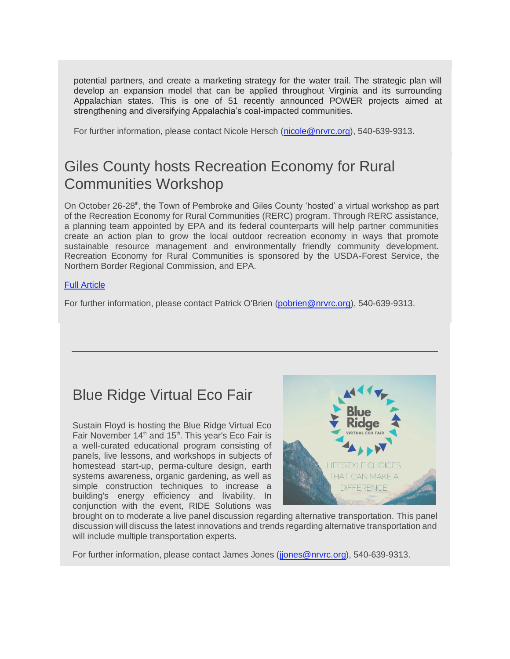potential partners, and create a marketing strategy for the water trail. The strategic plan will develop an expansion model that can be applied throughout Virginia and its surrounding Appalachian states. This is one of 51 recently announced POWER projects aimed at strengthening and diversifying Appalachia's coal-impacted communities.

For further information, please contact Nicole Hersch [\(nicole@nrvrc.org\)](mailto:nicole@nrvrc.org), 540-639-9313.

## Giles County hosts Recreation Economy for Rural Communities Workshop

On October 26-28<sup>th</sup>, the Town of Pembroke and Giles County 'hosted' a virtual workshop as part of the Recreation Economy for Rural Communities (RERC) program. Through RERC assistance, a planning team appointed by EPA and its federal counterparts will help partner communities create an action plan to grow the local outdoor recreation economy in ways that promote sustainable resource management and environmentally friendly community development. Recreation Economy for Rural Communities is sponsored by the USDA-Forest Service, the Northern Border Regional Commission, and EPA.

#### [Full Article](http://r20.rs6.net/tn.jsp?f=001ePxolpQtdb5qH7HaU10RqkmMe1YQyUt1d_B74Ke1Z2AUvNC-xrsbQCqJNLIL2BCnDdHfGhJknSWYqKV7A3YdQv-NlOwrdss1PcANI9QyT_kz0hMTJXR5kw7otpUwcNAT2x0aXkcyfC18CiXFH6xUgjyeXpvRrMvXWtjTvmsQ4lcgTyDLpmwRyLPhGb0IniKhIildI8TpEgD5FXj3CCmYvsjMhjNQr1vQt0ZrJ6umy_A=&c=PNCl1idaHybkI5Ae0TQ3oQXW3nl5oIbmlTgUdqCbJAV52bywjSoBPQ==&ch=ygLaZN9QULdMhbnJdZDdM9djf9eHzkfXbSVZ4n__t33mK7IS0P4Klw==)

For further information, please contact Patrick O'Brien [\(pobrien@nrvrc.org\)](mailto:pobrien@nrvrc.org), 540-639-9313.

## Blue Ridge Virtual Eco Fair

Sustain Floyd is hosting the Blue Ridge Virtual Eco Fair November  $14<sup>th</sup>$  and  $15<sup>th</sup>$ . This year's Eco Fair is a well-curated educational program consisting of panels, live lessons, and workshops in subjects of homestead start-up, perma-culture design, earth systems awareness, organic gardening, as well as simple construction techniques to increase a building's energy efficiency and livability. In conjunction with the event, RIDE Solutions was



brought on to moderate a live panel discussion regarding alternative transportation. This panel discussion will discuss the latest innovations and trends regarding alternative transportation and will include multiple transportation experts.

For further information, please contact James Jones [\(jjones@nrvrc.org\)](mailto:jjones@nrvrc.org), 540-639-9313.